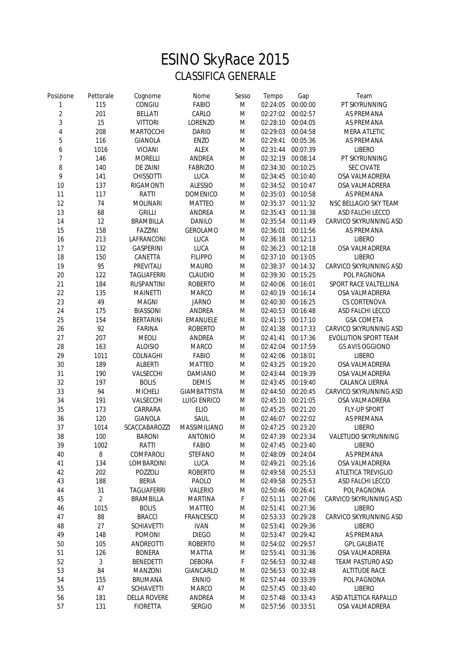## ESINO SkyRace 2015 CLASSIFICA GENERALE

| Posizione      | Pettorale      | Cognome                              | Nome                    | Sesso | Tempo             | Gap                           | Team                                    |
|----------------|----------------|--------------------------------------|-------------------------|-------|-------------------|-------------------------------|-----------------------------------------|
| 1              | 115            | CONGIU                               | <b>FABIO</b>            | M     | 02:24:05          | 00:00:00                      | PT SKYRUNNING                           |
| $\overline{c}$ | 201            | <b>BELLATI</b>                       | CARLO                   | M     | 02:27:02          | 00:02:57                      | <b>AS PREMANA</b>                       |
| $\mathfrak{Z}$ | 15             | <b>VITTORI</b>                       | LORENZO                 | M     |                   | 02:28:10 00:04:05             | AS PREMANA                              |
| $\overline{4}$ | 208            | MARTOCCHI                            | <b>DARIO</b>            | M     | 02:29:03          | 00:04:58                      | <b>MERA ATLETIC</b>                     |
| 5              | 116            | <b>GIANOLA</b>                       | ENZO                    | M     | 02:29:41          | 00:05:36                      | AS PREMANA                              |
| 6              | 1016           | <b>VICIANI</b>                       | <b>ALEX</b>             | M     | 02:31:44          | 00:07:39                      | <b>LIBERO</b>                           |
| 7              | 146            | <b>MORELLI</b>                       | ANDREA                  | M     | 02:32:19          | 00:08:14                      | PT SKYRUNNING                           |
| 8              | 140            | <b>DE ZAINI</b>                      | <b>FABRIZIO</b>         | M     | 02:34:30          | 00:10:25                      | <b>SEC CIVATE</b>                       |
| 9              | 141            | <b>CHISSOTTI</b>                     | LUCA                    | M     | 02:34:45          | 00:10:40                      | OSA VALMADRERA                          |
| $10$           | 137            | <b>RIGAMONTI</b>                     | <b>ALESSIO</b>          | M     |                   | 02:34:52 00:10:47             | OSA VALMADRERA                          |
| 11             | 117            | RATTI                                | <b>DOMENICO</b>         | M     |                   | 02:35:03 00:10:58             | AS PREMANA                              |
| 12             | 74             | <b>MOLINARI</b>                      | <b>MATTEO</b>           | M     |                   | 02:35:37 00:11:32             | NSC BELLAGIO SKY TEAM                   |
| 13             | 68             | <b>GRILLI</b>                        | ANDREA                  | M     | 02:35:43          | 00:11:38                      | ASD FALCHI LECCO                        |
| 14             | 12             | <b>BRAMBILLA</b>                     | DANILO                  | M     | 02:35:54          | 00:11:49                      | CARVICO SKYRUNNING ASD                  |
| 15             | 158            | <b>FAZZINI</b>                       | <b>GEROLAMO</b>         | M     | 02:36:01          | 00:11:56                      | AS PREMANA                              |
| 16             | 213            | LAFRANCONI                           | LUCA                    | M     | 02:36:18          | 00:12:13                      | <b>LIBERO</b>                           |
| 17             | 132            | <b>GASPERINI</b>                     | LUCA                    | M     | 02:36:23          | 00:12:18                      | OSA VALMADRERA                          |
| 18             | 150            | CANETTA                              | <b>FILIPPO</b>          | M     |                   | 02:37:10 00:13:05             | <b>LIBERO</b>                           |
| 19             | 95             | PREVITALI                            | <b>MAURO</b>            | M     | 02:38:37          | 00:14:32                      | CARVICO SKYRUNNING ASD                  |
| 20             | 122            | <b>TAGLIAFERRI</b>                   | CLAUDIO                 | M     | 02:39:30          | 00:15:25                      | POL PAGNONA                             |
| 21             | 184            |                                      |                         | M     | 02:40:06          |                               |                                         |
| 22             | 135            | <b>RUSPANTINI</b><br><b>MAINETTI</b> | <b>ROBERTO</b><br>MARCO | M     |                   | 00:16:01<br>02:40:19 00:16:14 | SPORT RACE VALTELLINA<br>OSA VALMADRERA |
|                | 49             | <b>MAGNI</b>                         |                         | M     |                   |                               | CS CORTENOVA                            |
| 23             |                |                                      | <b>JARNO</b>            |       |                   | 02:40:30 00:16:25             |                                         |
| 24             | 175            | <b>BIASSONI</b>                      | ANDREA                  | M     |                   | 02:40:53 00:16:48             | ASD FALCHI LECCO                        |
| 25             | 154            | <b>BERTARINI</b>                     | EMANUELE                | M     |                   | 02:41:15 00:17:10             | <b>GSA COMETA</b>                       |
| 26             | 92             | <b>FARINA</b>                        | <b>ROBERTO</b>          | M     |                   | 02:41:38 00:17:33             | CARVICO SKYRUNNING ASD                  |
| 27             | 207            | <b>MEOLI</b>                         | ANDREA                  | M     | 02:41:41          | 00:17:36                      | EVOLUTION SPORT TEAM                    |
| 28             | 163            | <b>ALOISIO</b>                       | MARCO                   | M     | 02:42:04          | 00:17:59                      | <b>GS AVIS OGGIONO</b>                  |
| 29             | 1011           | COLNAGHI                             | <b>FABIO</b>            | M     | 02:42:06          | 00:18:01                      | <b>LIBERO</b>                           |
| $30\,$         | 189            | <b>ALBERTI</b>                       | <b>MATTEO</b>           | M     | 02:43:25          | 00:19:20                      | OSA VALMADRERA                          |
| 31             | 190            | VALSECCHI                            | <b>DAMIANO</b>          | M     | 02:43:44          | 00:19:39                      | OSA VALMADRERA                          |
| 32             | 197            | <b>BOLIS</b>                         | <b>DEMIS</b>            | M     | 02:43:45          | 00:19:40                      | CALANCA LIERNA                          |
| 33             | 94             | <b>MICHELI</b>                       | <b>GIAMBATTISTA</b>     | M     | 02:44:50          | 00:20:45                      | CARVICO SKYRUNNING ASD                  |
| 34             | 191            | VALSECCHI                            | <b>LUIGI ENRICO</b>     | M     | 02:45:10          | 00:21:05                      | OSA VALMADRERA                          |
| 35             | 173            | CARRARA                              | <b>ELIO</b>             | M     | 02:45:25          | 00:21:20                      | FLY-UP SPORT                            |
| 36             | 120            | <b>GIANOLA</b>                       | SAUL                    | M     | 02:46:07          | 00:22:02                      | AS PREMANA                              |
| 37             | 1014           | SCACCABAROZZI                        | MASSIMILIANO            | M     | 02:47:25          | 00:23:20                      | <b>LIBERO</b>                           |
| 38             | 100            | <b>BARONI</b>                        | <b>ANTONIO</b>          | M     | 02:47:39 00:23:34 |                               | VALETUDO SKYRUNNING                     |
| 39             | 1002           | RATTI                                | <b>FABIO</b>            | M     | 02:47:45 00:23:40 |                               | <b>LIBERO</b>                           |
| 40             | 8              | COMPAROLI                            | <b>STEFANO</b>          | M     | 02:48:09          | 00:24:04                      | AS PREMANA                              |
| 41             | 134            | LOMBARDINI                           | LUCA                    | M     | 02:49:21          | 00:25:16                      | OSA VALMADRERA                          |
| 42             | 202            | POZZOLI                              | <b>ROBERTO</b>          | M     |                   | 02:49:58 00:25:53             | ATLETICA TREVIGLIO                      |
| 43             | 188            | <b>BERIA</b>                         | PAOLO                   | M     | 02:49:58          | 00:25:53                      | ASD FALCHI LECCO                        |
| 44             | 31             | <b>TAGLIAFERRI</b>                   | VALERIO                 | M     | 02:50:46          | 00:26:41                      | POL PAGNONA                             |
| 45             | $\overline{c}$ | <b>BRAMBILLA</b>                     | <b>MARTINA</b>          | F     | 02:51:11          | 00:27:06                      | CARVICO SKYRUNNING ASD                  |
| 46             | 1015           | <b>BOLIS</b>                         | <b>MATTEO</b>           | M     | 02:51:41          | 00:27:36                      | <b>LIBERO</b>                           |
| 47             | 88             | <b>BRACCI</b>                        | FRANCESCO               | M     | 02:53:33          | 00:29:28                      | CARVICO SKYRUNNING ASD                  |
| 48             | 27             | <b>SCHIAVETTI</b>                    | <b>IVAN</b>             | M     | 02:53:41          | 00:29:36                      | <b>LIBERO</b>                           |
| 49             | 148            | <b>POMONI</b>                        | <b>DIEGO</b>            | M     | 02:53:47          | 00:29:42                      | AS PREMANA                              |
| 50             | 105            | ANDREOTTI                            | <b>ROBERTO</b>          | M     |                   | 02:54:02 00:29:57             | <b>GPL GALBIATE</b>                     |
| 51             | 126            | <b>BONERA</b>                        | <b>MATTIA</b>           | M     | 02:55:41          | 00:31:36                      | OSA VALMADRERA                          |
| 52             | 3              | <b>BENEDETTI</b>                     | <b>DEBORA</b>           | F     | 02:56:53          | 00:32:48                      | <b>TEAM PASTURO ASD</b>                 |
| 53             | 84             | <b>MANZONI</b>                       | GIANCARLO               | M     | 02:56:53          | 00:32:48                      | <b>ALTITUDE RACE</b>                    |
| 54             | 155            | <b>BRUMANA</b>                       | <b>ENNIO</b>            | M     | 02:57:44          | 00:33:39                      | POL PAGNONA                             |
| 55             | 47             | <b>SCHIAVETTI</b>                    | MARCO                   | M     |                   | 02:57:45 00:33:40             | <b>LIBERO</b>                           |
| 56             | 181            | <b>DELLA ROVERE</b>                  | ANDREA                  | M     |                   | 02:57:48 00:33:43             | ASD ATLETICA RAPALLO                    |
| 57             | 131            | <b>FIORETTA</b>                      | <b>SERGIO</b>           | M     | 02:57:56 00:33:51 |                               | OSA VALMADRERA                          |
|                |                |                                      |                         |       |                   |                               |                                         |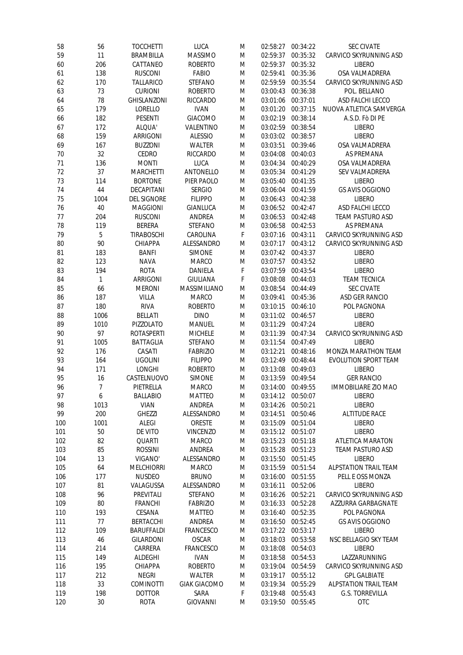| 58  | 56             | <b>TOCCHETTI</b>   | LUCA                | M | 02:58:27          | 00:34:22 | <b>SEC CIVATE</b>            |
|-----|----------------|--------------------|---------------------|---|-------------------|----------|------------------------------|
| 59  | 11             | <b>BRAMBILLA</b>   | <b>MASSIMO</b>      | M | 02:59:37          | 00:35:32 | CARVICO SKYRUNNING ASD       |
| 60  | 206            | CATTANEO           | <b>ROBERTO</b>      | M | 02:59:37          | 00:35:32 | <b>LIBERO</b>                |
| 61  | 138            | <b>RUSCONI</b>     | <b>FABIO</b>        | M | 02:59:41          | 00:35:36 | OSA VALMADRERA               |
| 62  | 170            | <b>TALLARICO</b>   | <b>STEFANO</b>      | M | 02:59:59          | 00:35:54 | CARVICO SKYRUNNING ASD       |
| 63  | 73             | <b>CURIONI</b>     | <b>ROBERTO</b>      | M | 03:00:43          | 00:36:38 | POL. BELLANO                 |
| 64  | 78             | <b>GHISLANZONI</b> | <b>RICCARDO</b>     | M | 03:01:06          | 00:37:01 | ASD FALCHI LECCO             |
| 65  | 179            | LORELLO            | <b>IVAN</b>         | M | 03:01:20          | 00:37:15 | NUOVA ATLETICA SAMVERGA      |
| 66  | 182            | <b>PESENTI</b>     | <b>GIACOMO</b>      | M | 03:02:19          | 00:38:14 | A.S.D. Fò DI PE              |
| 67  | 172            | ALQUA'             | VALENTINO           | M | 03:02:59          | 00:38:54 | <b>LIBERO</b>                |
| 68  | 159            | ARRIGONI           | <b>ALESSIO</b>      | M | 03:03:02          | 00:38:57 | <b>LIBERO</b>                |
| 69  | 167            | <b>BUZZONI</b>     | <b>WALTER</b>       | M | 03:03:51          | 00:39:46 | OSA VALMADRERA               |
| 70  | 32             | CEDRO              | <b>RICCARDO</b>     | M | 03:04:08          | 00:40:03 | AS PREMANA                   |
| 71  | 136            | <b>MONTI</b>       | <b>LUCA</b>         | M | 03:04:34          | 00:40:29 | OSA VALMADRERA               |
| 72  | 37             | <b>MARCHETTI</b>   | ANTONELLO           | M | 03:05:34          | 00:41:29 | SEV VALMADRERA               |
| 73  | 114            | <b>BORTONE</b>     | PIER PAOLO          | M | 03:05:40          | 00:41:35 | <b>LIBERO</b>                |
| 74  | 44             | DECAPITANI         | <b>SERGIO</b>       |   | 03:06:04          | 00:41:59 | <b>GS AVIS OGGIONO</b>       |
|     |                |                    |                     | M |                   |          |                              |
| 75  | 1004           | <b>DEL SIGNORE</b> | <b>FILIPPO</b>      | M | 03:06:43          | 00:42:38 | <b>LIBERO</b>                |
| 76  | 40             | <b>MAGGIONI</b>    | <b>GIANLUCA</b>     | M | 03:06:52          | 00:42:47 | ASD FALCHI LECCO             |
| 77  | 204            | <b>RUSCONI</b>     | ANDREA              | M | 03:06:53          | 00:42:48 | <b>TEAM PASTURO ASD</b>      |
| 78  | 119            | <b>BERERA</b>      | <b>STEFANO</b>      | M | 03:06:58          | 00:42:53 | AS PREMANA                   |
| 79  | 5              | <b>TIRABOSCHI</b>  | CAROLINA            | F | 03:07:16          | 00:43:11 | CARVICO SKYRUNNING ASD       |
| 80  | 90             | CHIAPPA            | ALESSANDRO          | M | 03:07:17          | 00:43:12 | CARVICO SKYRUNNING ASD       |
| 81  | 183            | <b>BANFI</b>       | <b>SIMONE</b>       | M | 03:07:42          | 00:43:37 | <b>LIBERO</b>                |
| 82  | 123            | <b>NAVA</b>        | <b>MARCO</b>        | M | 03:07:57          | 00:43:52 | <b>LIBERO</b>                |
| 83  | 194            | <b>ROTA</b>        | DANIELA             | F | 03:07:59          | 00:43:54 | <b>LIBERO</b>                |
| 84  | $\mathbf{1}$   | ARRIGONI           | <b>GIULIANA</b>     | F | 03:08:08          | 00:44:03 | <b>TEAM TECNICA</b>          |
| 85  | 66             | <b>MERONI</b>      | MASSIMILIANO        | M | 03:08:54          | 00:44:49 | <b>SEC CIVATE</b>            |
| 86  | 187            | VILLA              | <b>MARCO</b>        | M | 03:09:41          | 00:45:36 | ASD GER RANCIO               |
| 87  | 180            | <b>RIVA</b>        | <b>ROBERTO</b>      | M | 03:10:15          | 00:46:10 | POL PAGNONA                  |
| 88  | 1006           | <b>BELLATI</b>     | <b>DINO</b>         | M | 03:11:02          | 00:46:57 | <b>LIBERO</b>                |
| 89  | 1010           | PIZZOLATO          | <b>MANUEL</b>       | M | 03:11:29          | 00:47:24 | <b>LIBERO</b>                |
| 90  | 97             | <b>ROTASPERTI</b>  | <b>MICHELE</b>      | M | 03:11:39          | 00:47:34 | CARVICO SKYRUNNING ASD       |
| 91  | 1005           | <b>BATTAGLIA</b>   | <b>STEFANO</b>      | M | 03:11:54          | 00:47:49 | <b>LIBERO</b>                |
| 92  | 176            | CASATI             | <b>FABRIZIO</b>     | M | 03:12:21          | 00:48:16 | MONZA MARATHON TEAM          |
| 93  | 164            | <b>UGOLINI</b>     | <b>FILIPPO</b>      | M | 03:12:49          | 00:48:44 | EVOLUTION SPORT TEAM         |
| 94  | 171            | LONGHI             | <b>ROBERTO</b>      | M | 03:13:08          | 00:49:03 | <b>LIBERO</b>                |
| 95  | 16             | CASTELNUOVO        | <b>SIMONE</b>       | M | 03:13:59          | 00:49:54 | <b>GER RANCIO</b>            |
| 96  | $\overline{7}$ | PIETRELLA          | <b>MARCO</b>        | M | 03:14:00          | 00:49:55 | <b>IMMOBILIARE ZIO MAO</b>   |
| 97  | 6              | <b>BALLABIO</b>    | <b>MATTEO</b>       | M | 03:14:12 00:50:07 |          | <b>LIBERO</b>                |
| 98  | 1013           | <b>VIAN</b>        | ANDREA              | M | 03:14:26          | 00:50:21 | <b>LIBERO</b>                |
| 99  | 200            | <b>GHEZZI</b>      | ALESSANDRO          | M | 03:14:51          | 00:50:46 | <b>ALTITUDE RACE</b>         |
| 100 | 1001           | ALEGI              | ORESTE              | M | 03:15:09          | 00:51:04 | <b>LIBERO</b>                |
|     | 50             | DE VITO            | <b>VINCENZO</b>     |   | 03:15:12 00:51:07 |          | <b>LIBERO</b>                |
| 101 |                |                    |                     | M |                   |          |                              |
| 102 | 82             | QUARTI             | <b>MARCO</b>        | M | 03:15:23          | 00:51:18 | <b>ATLETICA MARATON</b>      |
| 103 | 85             | <b>ROSSINI</b>     | ANDREA              | M | 03:15:28          | 00:51:23 | <b>TEAM PASTURO ASD</b>      |
| 104 | 13             | VIGANO'            | ALESSANDRO          | M | 03:15:50          | 00:51:45 | <b>LIBERO</b>                |
| 105 | 64             | <b>MELCHIORRI</b>  | <b>MARCO</b>        | M | 03:15:59          | 00:51:54 | <b>ALPSTATION TRAIL TEAM</b> |
| 106 | 177            | <b>NUSDEO</b>      | <b>BRUNO</b>        | M | 03:16:00          | 00:51:55 | PELL E OSS MONZA             |
| 107 | 81             | VALAGUSSA          | ALESSANDRO          | M | 03:16:11          | 00:52:06 | <b>LIBERO</b>                |
| 108 | 96             | PREVITALI          | <b>STEFANO</b>      | M | 03:16:26          | 00:52:21 | CARVICO SKYRUNNING ASD       |
| 109 | 80             | <b>FRANCHI</b>     | <b>FABRIZIO</b>     | M | 03:16:33          | 00:52:28 | AZZURRA GARBAGNATE           |
| 110 | 193            | CESANA             | <b>MATTEO</b>       | M | 03:16:40          | 00:52:35 | POL PAGNONA                  |
| 111 | 77             | <b>BERTACCHI</b>   | ANDREA              | M | 03:16:50          | 00:52:45 | <b>GS AVIS OGGIONO</b>       |
| 112 | 109            | <b>BARUFFALDI</b>  | <b>FRANCESCO</b>    | M | 03:17:22          | 00:53:17 | <b>LIBERO</b>                |
| 113 | 46             | <b>GILARDONI</b>   | <b>OSCAR</b>        | M | 03:18:03          | 00:53:58 | NSC BELLAGIO SKY TEAM        |
| 114 | 214            | CARRERA            | FRANCESCO           | M | 03:18:08          | 00:54:03 | <b>LIBERO</b>                |
| 115 | 149            | ALDEGHI            | <b>IVAN</b>         | M | 03:18:58          | 00:54:53 | LAZZARUNNING                 |
| 116 | 195            | CHIAPPA            | <b>ROBERTO</b>      | M | 03:19:04          | 00:54:59 | CARVICO SKYRUNNING ASD       |
| 117 | 212            | <b>NEGRI</b>       | <b>WALTER</b>       | M | 03:19:17          | 00:55:12 | <b>GPL GALBIATE</b>          |
| 118 | 33             | <b>COMINOTTI</b>   | <b>GIAK GIACOMO</b> | M | 03:19:34          | 00:55:29 | <b>ALPSTATION TRAIL TEAM</b> |
| 119 | 198            | <b>DOTTOR</b>      | SARA                | F | 03:19:48          | 00:55:43 | <b>G.S. TORREVILLA</b>       |
| 120 | 30             | <b>ROTA</b>        | <b>GIOVANNI</b>     | M | 03:19:50          | 00:55:45 | OTC                          |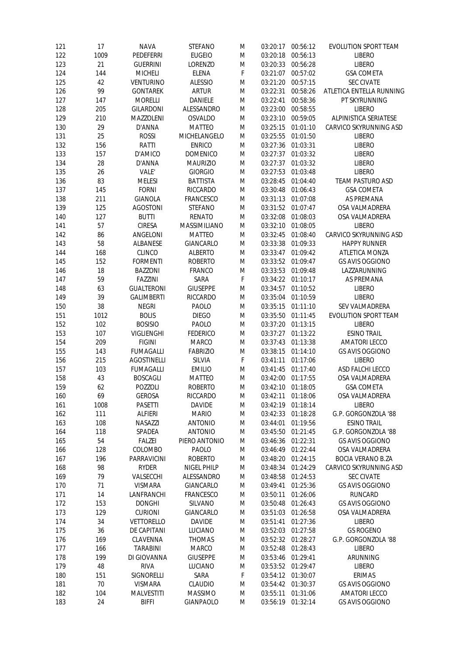| 121 | 17     | <b>NAVA</b>        | <b>STEFANO</b>   | M | 03:20:17          | 00:56:12          | <b>EVOLUTION SPORT TEAM</b> |
|-----|--------|--------------------|------------------|---|-------------------|-------------------|-----------------------------|
| 122 | 1009   | <b>PEDEFERRI</b>   | <b>EUGEIO</b>    | M | 03:20:18          | 00:56:13          | <b>LIBERO</b>               |
| 123 | 21     | <b>GUERRINI</b>    | LORENZO          | M | 03:20:33          | 00:56:28          | <b>LIBERO</b>               |
| 124 | 144    | <b>MICHELI</b>     | <b>ELENA</b>     | F | 03:21:07          | 00:57:02          | <b>GSA COMETA</b>           |
| 125 | 42     | <b>VENTURINO</b>   | <b>ALESSIO</b>   | M | 03:21:20          | 00:57:15          | <b>SEC CIVATE</b>           |
| 126 | 99     | <b>GONTAREK</b>    | <b>ARTUR</b>     | M | 03:22:31          | 00:58:26          | ATLETICA ENTELLA RUNNING    |
| 127 | 147    | <b>MORELLI</b>     | DANIELE          | M | 03:22:41          | 00:58:36          | PT SKYRUNNING               |
| 128 | 205    | <b>GILARDONI</b>   | ALESSANDRO       | M | 03:23:00          | 00:58:55          | <b>LIBERO</b>               |
| 129 | 210    | MAZZOLENI          | <b>OSVALDO</b>   | M | 03:23:10          | 00:59:05          | ALPINISTICA SERIATESE       |
| 130 | 29     | D'ANNA             | <b>MATTEO</b>    | M | 03:25:15          | 01:01:10          | CARVICO SKYRUNNING ASD      |
| 131 | 25     | ROSSI              | MICHELANGELO     | M | 03:25:55          | 01:01:50          | <b>LIBERO</b>               |
| 132 | 156    | RATTI              | <b>ENRICO</b>    | M | 03:27:36 01:03:31 |                   | <b>LIBERO</b>               |
| 133 | 157    | D'AMICO            | <b>DOMENICO</b>  | M |                   | 03:27:37 01:03:32 | <b>LIBERO</b>               |
| 134 | 28     | D'ANNA             | <b>MAURIZIO</b>  | M | 03:27:37          | 01:03:32          | <b>LIBERO</b>               |
| 135 | 26     | VALE'              | <b>GIORGIO</b>   | M | 03:27:53          | 01:03:48          | <b>LIBERO</b>               |
| 136 | 83     | <b>MELESI</b>      | <b>BATTISTA</b>  | M | 03:28:45          | 01:04:40          | <b>TEAM PASTURO ASD</b>     |
|     |        |                    |                  |   |                   |                   |                             |
| 137 | 145    | <b>FORNI</b>       | RICCARDO         | M | 03:30:48          | 01:06:43          | <b>GSA COMETA</b>           |
| 138 | 211    | <b>GIANOLA</b>     | <b>FRANCESCO</b> | M | 03:31:13          | 01:07:08          | AS PREMANA                  |
| 139 | 125    | <b>AGOSTONI</b>    | <b>STEFANO</b>   | M | 03:31:52          | 01:07:47          | OSA VALMADRERA              |
| 140 | 127    | <b>BUTTI</b>       | <b>RENATO</b>    | M | 03:32:08          | 01:08:03          | OSA VALMADRERA              |
| 141 | 57     | <b>CIRESA</b>      | MASSIMILIANO     | M | 03:32:10          | 01:08:05          | <b>LIBERO</b>               |
| 142 | 86     | ANGELONI           | <b>MATTEO</b>    | M | 03:32:45          | 01:08:40          | CARVICO SKYRUNNING ASD      |
| 143 | 58     | ALBANESE           | GIANCARLO        | M | 03:33:38          | 01:09:33          | <b>HAPPY RUNNER</b>         |
| 144 | 168    | <b>CLINCO</b>      | <b>ALBERTO</b>   | M | 03:33:47          | 01:09:42          | ATLETICA MONZA              |
| 145 | 152    | <b>FORMENTI</b>    | <b>ROBERTO</b>   | M | 03:33:52 01:09:47 |                   | <b>GS AVIS OGGIONO</b>      |
| 146 | 18     | <b>BAZZONI</b>     | <b>FRANCO</b>    | M | 03:33:53          | 01:09:48          | LAZZARUNNING                |
| 147 | 59     | <b>FAZZINI</b>     | SARA             | F | 03:34:22          | 01:10:17          | AS PREMANA                  |
| 148 | 63     | <b>GUALTERONI</b>  | <b>GIUSEPPE</b>  | M | 03:34:57          | 01:10:52          | <b>LIBERO</b>               |
| 149 | 39     | <b>GALIMBERTI</b>  | RICCARDO         | M | 03:35:04          | 01:10:59          | <b>LIBERO</b>               |
| 150 | 38     | <b>NEGRI</b>       | PAOLO            | M | 03:35:15          | 01:11:10          | SEV VALMADRERA              |
| 151 | 1012   | <b>BOLIS</b>       | <b>DIEGO</b>     | M | 03:35:50          | 01:11:45          | EVOLUTION SPORT TEAM        |
| 152 | 102    | <b>BOSISIO</b>     | PAOLO            | M | 03:37:20          | 01:13:15          | <b>LIBERO</b>               |
| 153 | 107    | VIGLIENGHI         | <b>FEDERICO</b>  | M | 03:37:27          | 01:13:22          | <b>ESINO TRAIL</b>          |
| 154 | 209    | <b>FIGINI</b>      | MARCO            | M | 03:37:43          | 01:13:38          | <b>AMATORI LECCO</b>        |
| 155 | 143    | <b>FUMAGALLI</b>   | <b>FABRIZIO</b>  | M | 03:38:15          | 01:14:10          | <b>GS AVIS OGGIONO</b>      |
| 156 | 215    | <b>AGOSTINELLI</b> | SILVIA           | F | 03:41:11          | 01:17:06          | <b>LIBERO</b>               |
| 157 | 103    | <b>FUMAGALLI</b>   | <b>EMILIO</b>    | M | 03:41:45 01:17:40 |                   | ASD FALCHI LECCO            |
| 158 | 43     | <b>BOSCAGLI</b>    | <b>MATTEO</b>    | M |                   | 03:42:00 01:17:55 | OSA VALMADRERA              |
| 159 | 62     | POZZOLI            | <b>ROBERTO</b>   | M | 03:42:10 01:18:05 |                   | <b>GSA COMETA</b>           |
| 160 | 69     | <b>GEROSA</b>      | RICCARDO         | M | 03:42:11 01:18:06 |                   | OSA VALMADRERA              |
| 161 | 1008   | <b>PASETTI</b>     | <b>DAVIDE</b>    | M | 03:42:19          | 01:18:14          | <b>LIBERO</b>               |
| 162 | 111    |                    | <b>MARIO</b>     |   | 03:42:33          | 01:18:28          | G.P. GORGONZOLA '88         |
|     |        | ALFIERI            |                  | M |                   |                   | <b>ESINO TRAIL</b>          |
| 163 | 108    | NASAZZI            | <b>ANTONIO</b>   | M | 03:44:01          | 01:19:56          |                             |
| 164 | 118    | SPADEA             | <b>ANTONIO</b>   | M | 03:45:50          | 01:21:45          | G.P. GORGONZOLA '88         |
| 165 | 54     | FALZEI             | PIERO ANTONIO    | M | 03:46:36          | 01:22:31          | <b>GS AVIS OGGIONO</b>      |
| 166 | 128    | COLOMBO            | PAOLO            | M | 03:46:49          | 01:22:44          | OSA VALMADRERA              |
| 167 | 196    | PARRAVICINI        | <b>ROBERTO</b>   | M | 03:48:20          | 01:24:15          | <b>BOCIA VERANO B.ZA</b>    |
| 168 | 98     | <b>RYDER</b>       | NIGEL PHILP      | M | 03:48:34          | 01:24:29          | CARVICO SKYRUNNING ASD      |
| 169 | 79     | VALSECCHI          | ALESSANDRO       | M | 03:48:58          | 01:24:53          | <b>SEC CIVATE</b>           |
| 170 | 71     | VISMARA            | GIANCARLO        | M | 03:49:41          | 01:25:36          | <b>GS AVIS OGGIONO</b>      |
| 171 | 14     | LANFRANCHI         | <b>FRANCESCO</b> | M | 03:50:11          | 01:26:06          | <b>RUNCARD</b>              |
| 172 | 153    | <b>DONGHI</b>      | SILVANO          | M | 03:50:48          | 01:26:43          | <b>GS AVIS OGGIONO</b>      |
| 173 | 129    | <b>CURIONI</b>     | GIANCARLO        | M | 03:51:03          | 01:26:58          | OSA VALMADRERA              |
| 174 | 34     | <b>VETTORELLO</b>  | <b>DAVIDE</b>    | M | 03:51:41          | 01:27:36          | <b>LIBERO</b>               |
| 175 | 36     | DE CAPITANI        | LUCIANO          | M | 03:52:03          | 01:27:58          | <b>GS ROGENO</b>            |
| 176 | 169    | CLAVENNA           | <b>THOMAS</b>    | M | 03:52:32          | 01:28:27          | G.P. GORGONZOLA '88         |
| 177 | 166    | <b>TARABINI</b>    | <b>MARCO</b>     | M | 03:52:48          | 01:28:43          | <b>LIBERO</b>               |
| 178 | 199    | DI GIOVANNA        | <b>GIUSEPPE</b>  | M | 03:53:46          | 01:29:41          | ARUNNING                    |
| 179 | 48     | <b>RIVA</b>        | LUCIANO          | M | 03:53:52          | 01:29:47          | <b>LIBERO</b>               |
| 180 | 151    | SIGNORELLI         | SARA             | F | 03:54:12          | 01:30:07          | <b>ERIMAS</b>               |
| 181 | $70\,$ | <b>VISMARA</b>     | CLAUDIO          | M | 03:54:42 01:30:37 |                   | <b>GS AVIS OGGIONO</b>      |
| 182 | 104    | MALVESTITI         | <b>MASSIMO</b>   | M | 03:55:11          | 01:31:06          | <b>AMATORI LECCO</b>        |
| 183 | 24     | <b>BIFFI</b>       | <b>GIANPAOLO</b> | M | 03:56:19 01:32:14 |                   | <b>GS AVIS OGGIONO</b>      |
|     |        |                    |                  |   |                   |                   |                             |